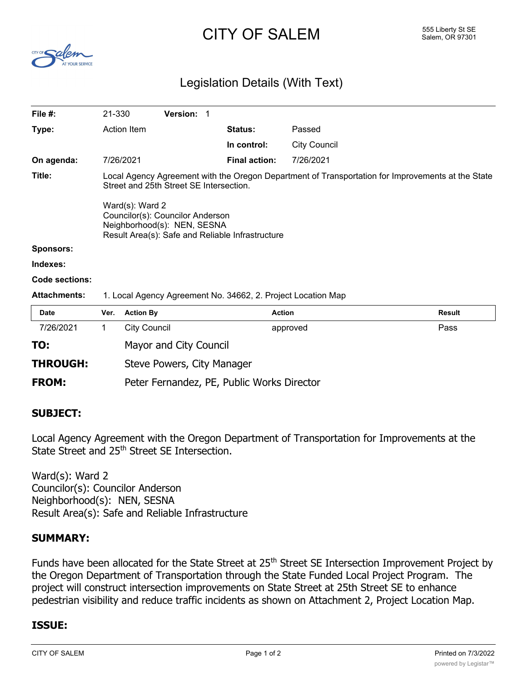# $CITY$   $OF$   $SALEM$   $SALEM$   $SALEM$   $SALEM$   $SALEM$   $SALEM$   $SALEM$   $SALEM$   $SALEM$



## Legislation Details (With Text)

| File #:               | 21-330                                                                                                                                                                                                                                                                                 |                     | <b>Version:</b>        | -1     |                      |                     |               |
|-----------------------|----------------------------------------------------------------------------------------------------------------------------------------------------------------------------------------------------------------------------------------------------------------------------------------|---------------------|------------------------|--------|----------------------|---------------------|---------------|
| Type:                 | Action Item                                                                                                                                                                                                                                                                            |                     | <b>Status:</b>         | Passed |                      |                     |               |
|                       |                                                                                                                                                                                                                                                                                        |                     |                        |        | In control:          | <b>City Council</b> |               |
| On agenda:            |                                                                                                                                                                                                                                                                                        | 7/26/2021           |                        |        | <b>Final action:</b> | 7/26/2021           |               |
| Title:                | Local Agency Agreement with the Oregon Department of Transportation for Improvements at the State<br>Street and 25th Street SE Intersection.<br>Ward(s): Ward 2<br>Councilor(s): Councilor Anderson<br>Neighborhood(s): NEN, SESNA<br>Result Area(s): Safe and Reliable Infrastructure |                     |                        |        |                      |                     |               |
| <b>Sponsors:</b>      |                                                                                                                                                                                                                                                                                        |                     |                        |        |                      |                     |               |
| Indexes:              |                                                                                                                                                                                                                                                                                        |                     |                        |        |                      |                     |               |
| <b>Code sections:</b> |                                                                                                                                                                                                                                                                                        |                     |                        |        |                      |                     |               |
| <b>Attachments:</b>   | 1. Local Agency Agreement No. 34662, 2. Project Location Map                                                                                                                                                                                                                           |                     |                        |        |                      |                     |               |
| <b>Date</b>           | Ver.                                                                                                                                                                                                                                                                                   | <b>Action By</b>    |                        |        | <b>Action</b>        |                     | <b>Result</b> |
| 7/26/2021             | 1                                                                                                                                                                                                                                                                                      | <b>City Council</b> |                        |        |                      | approved            | Pass          |
| TO:                   |                                                                                                                                                                                                                                                                                        |                     | Mayor and City Council |        |                      |                     |               |
|                       |                                                                                                                                                                                                                                                                                        |                     |                        |        |                      |                     |               |

**THROUGH:** Steve Powers, City Manager

**FROM:** Peter Fernandez, PE, Public Works Director

#### **SUBJECT:**

Local Agency Agreement with the Oregon Department of Transportation for Improvements at the State Street and 25<sup>th</sup> Street SE Intersection.

Ward(s): Ward 2 Councilor(s): Councilor Anderson Neighborhood(s): NEN, SESNA Result Area(s): Safe and Reliable Infrastructure

#### **SUMMARY:**

Funds have been allocated for the State Street at 25<sup>th</sup> Street SE Intersection Improvement Project by the Oregon Department of Transportation through the State Funded Local Project Program. The project will construct intersection improvements on State Street at 25th Street SE to enhance pedestrian visibility and reduce traffic incidents as shown on Attachment 2, Project Location Map.

### **ISSUE:**